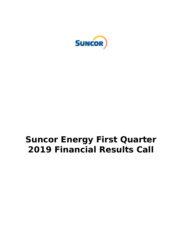

# **Suncor Energy First Quarter 2019 Financial Results Call**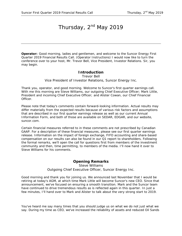# Thursday, 2<sup>nd</sup> May 2019

**Operator:** Good morning, ladies and gentlemen, and welcome to the Suncor Energy First Quarter 2019 Financial Results Call. (Operator Instructions) I would now like to turn the conference over to your host, Mr. Trevor Bell, Vice President, Investor Relations. Sir, you may begin.

#### **Introduction**

Trevor Bell *Vice President of Investor Relations, Suncor Energy Inc.*

Thank you, operator, and good morning. Welcome to Suncor's first quarter earnings call. With me this morning are Steve Williams, our outgoing Chief Executive Officer; Mark Little, President and incoming Chief Executive Officer; and Alister Cowan, our Chief Financial Officer.

Please note that today's comments contain forward-looking information. Actual results may differ materially from the expected results because of various risk factors and assumptions that are described in our first quarter earnings release as well as our current Annual Information Form, and both of those are available on SEDAR, EDGAR, and our website, suncor.com.

Certain financial measures referred to in these comments are not prescribed by Canadian GAAP. For a description of these financial measures, please see our first quarter earnings release. Information on the impact of foreign exchange, FIFO accounting and share-based compensation on our results can also be found in our Q1 report to shareholders. Following the formal remarks, we'll open the call for questions first from members of the investment community and then, time permitting, to members of the media. I'll now hand it over to Steve Williams for his comments.

## **Opening Remarks**

Steve Williams *Outgoing Chief Executive Officer, Suncor Energy Inc.*

Good morning and thank you for joining us. We announced last November that I would be retiring at today's AGM, at which time Mark Little will become Suncor's new CEO. Since that announcement, we've focused on ensuring a smooth transition. Mark and the Suncor team have continued to drive tremendous results as is reflected again in this quarter. In just a few minutes, I'll hand over to Mark and Alister to talk about the very strong start to 2019.

You've heard me say many times that you should judge us on what we do not just what we say. During my time as CEO, we've increased the reliability of assets and reduced Oil Sands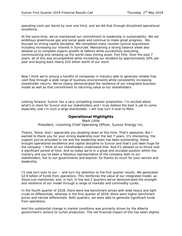operating costs per barrel by over one third, and we did that through disciplined operational excellence.

At the same time, we've maintained our commitment to leadership in sustainability. We set ambitious greenhouse gas and social goals and continue to make great progress. We focused on strong capital discipline. We completed many counter-cyclical acquisitions including increasing our interest in Syncrude. Maintaining a strong balance sheet also allowed us to complete organic growth at Hebron while successfully executing, commissioning and ramping up the world-class mining asset, Fort Hills. Over the past 7 years, all of this was accomplished while increasing our dividend by approximately 20% per year and buying back nearly \$10 billion worth of our stock.

Now I think we're among a handful of companies in industry able to generate reliable free cash flow through a wide range of business environments while consistently increasing shareholder returns. We've clearly demonstrated the resilience of our integrated business model as well as that commitment to returning value to our shareholders.

Looking forward, Suncor has a very compelling investor proposition. I'm excited about what's in store for Suncor and our stakeholders and I truly believe the best is yet to come especially now I'm such a large shareholder. I will now turn it over to Mark.

#### **Operational Highlights**

Mark Little *President, Incoming Chief Operating Officer, Suncor Energy Inc.*

Thanks, Steve. And I appreciate you doubling down at this time. That's awesome. But I wanted to thank you for your strong leadership over the last 7 years. It's interesting; the support you've provided to me and the leadership team has been outstanding. Steve brought operational excellence and capital discipline to Suncor and that's just been huge for the company. I think all our shareholders understand that. And it's allowed us to thrive over a significant period of time. And so today we're in a great and enviable position within the industry and you've been a fabulous representative of the company both to our stakeholders, but to our governments and beyond. So thanks so much for your service and leadership.

I'll now turn over to our -- and turn my attention to the first quarter results. We generated \$2.6 billion of funds from operations. This reinforces the value of our integrated model, as Steve just mentioned, and, in fact, in the last 2 quarters we've demonstrated the strength and resilience of our model through a range of markets and commodity cycles.

In the fourth quarter of 2018, there were low benchmark prices with wide heavy and light crude oil differentials, whereas in the first quarter of 2019, there were higher benchmark prices and narrow differentials. Both quarters, we were able to generate significant funds from operations.

And this substantial change in market conditions was primarily driven by the Alberta government's actions to curtail production. The net financial impact of this has been slightly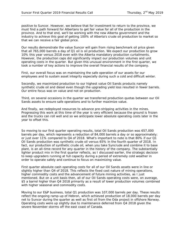positive to Suncor. However, we believe that for investment to return to the province, we must find a path forward for Albertans to get fair value for all of the production in the province. And to that end, we'll be working with the new Alberta government and the industry to achieve this goal of getting 100% of Alberta's crude oil production to market so that we can receive a fair global price.

Our results demonstrate the value Suncor will gain from rising benchmark oil price given that all 765,000 barrels a day of Q1 oil is oil production. We expect our production to grow 10% this year versus 2018 even with the Alberta mandatory production curtailments. However, the production caps did significantly impact our production volumes and unit operating costs in the quarter. But given this unusual environment in the first quarter, we took a number of key actions to improve the overall financial results of the company.

First, our overall focus was on maintaining the safe operation of our assets for our employees and to sustain asset integrity especially during such a cold and difficult winter.

Secondly, we maximized production to our highest value Oil Sands products namely synthetic crude oil and diesel even though the upgrading yield loss resulted in fewer barrels. Our entire focus was on value and not on production.

Third, on several occasions in the quarter we transferred production quotas between our Oil Sands assets to ensure safe operations and to further maximize value.

And finally, we redeployed resources to advance pre-stripping activities in the mines. Progressing this work at this time of the year is very efficient because the ground is frozen and the trucks can roll well and so we anticipate lower absolute operating costs later in the year to offset this.

So moving to our first quarter operating results, total Oil Sands production was 657,000 barrels per day, which represents a reduction of 84,000 barrels a day or so approximately; or just over 11% compared to Q4 of 2018. What's important to note is that 80% if our Q1 Oil Sands production was synthetic crude oil versus 65% in the fourth quarter of 2018. In fact, our production of synthetic crude oil, when you take Syncrude and combine it to base plant, is an all-time record for any quarter in the history of the company. The substantially lighter product mix in the first quarter reflects, as I discussed earlier, the strategic decision to keep upgraders running at full capacity during a period of extremely cold weather in order to operate safely and continue to focus on maximizing value.

First quarter absolute cash operating costs for all of our Oil Sands assets were in line or slightly higher than Q4 of 2018. This reflects the fixed cost nature of mining operations, higher commodity costs and the advancement of future mining activities, as I just mentioned. But on a unit basis then, all of our Oil Sands operating costs were, on average, \$5 a barrel higher than Q4 2018 primarily as a result of lower production volumes combined with higher seasonal and commodity costs.

Moving to our E&P business, total Q1 production was 107,000 barrels per day. These results reflect the ongoing ramp-up of Hebron, which achieved production of 18,000 barrels per day net to Suncor during the quarter as well as first oil from the Oda project in offshore Norway. Operating costs were up slightly due to maintenance deferred from Q4 2018 given the severe November storms off the east coast of Canada.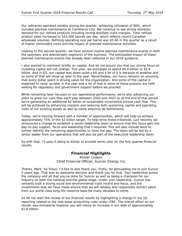Our refineries operated reliably during the quarter, achieving utilization of 96%, which included planned maintenance at Commerce City. We continue to see strong domestic demand for our refined products including strong distillate crack margins. Total refined product sales increased to 543,000 barrels per day, which reflects record Canadian wholesale volumes. Refining operating cost per barrel was \$5.60 in the quarter as a result of higher commodity costs and the impact of planned maintenance activities.

Looking to the second quarter, we have several routine planned maintenance events in both the upstream and downstream segments of the business. The anticipated impact of these planned maintenance events has already been reflected in our 2019 guidance.

I also wanted to comment briefly on capital. And let me assure you that our strong focus on investing capital will not change. This year, we anticipate to spend \$4.9 billion to \$5.6 billion. And in Q1, our capital was down quite a bit and a lot of it is because of weather and so some of that will show up later in the year. Nevertheless, our focus remains on ensuring that every dollar spent is driving value for the organization. And some of the capital is expected to ramp up later in the year and a lot of that is some of these projects are held waiting for regulatory and government support before we proceed.

While remaining laser-focused on our operational performance, we're also advancing our plans to grow our cash flow each year between 2020 and 2023 so at the end of that period we're generating an additional \$2 billion of sustainable incremental annual cash flow. This will be achieved by enhancing margins and reducing both sustaining capital and operating costs of our existing assets as well as some selective de-bottlenecks.

Today, we're moving forward with a number of opportunities, which will help us achieve approximately 75% of the \$2 billion target. To help drive these initiatives, just recently we announced a change to establish a senior leadership team to ensure that this focus gets the day-to-day support, focus and leadership that's required. This will also include work to further identify the remaining opportunities to close the gap. The team will be led by a senior leader from our operations that will also be part of the executive leadership team.

So with that, I'll pass it along to Alister to provide some color on the first quarter financial results.

## **Financial Highlights**

Alister Cowan *Chief Financial Officer, Suncor Energy Inc.*

Thanks, Mark. So Steve, I'd like to also thank you, firstly, for persuading me to join Suncor 5 years ago. That was an awesome decision and thank you for that. Your leadership across the company and all that you've done for Suncor as well as being a champion for our industry on both the national and the global stage. Under your leadership, Suncor has certainly built a strong social and environmental track record and focus, and the investments that we have made ensure that we will reliably and responsibly extract value from our world-class long-life resource base for many decades to come.

So let me start the review of our financial results by highlighting a change in our Q1 reporting related to the new lease accounting rules under IFRS. The overall effect on our results was immaterial however you will notice an increase in our debt of approximately \$1.8 billion.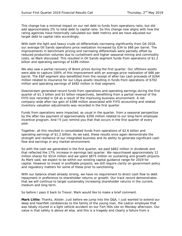This change has a minimal impact on our net debt to funds from operations ratio, but did add approximately 2% to total debt to capital ratio. So this change now aligns with how the rating agencies have historically calculated our debt metrics and we have adjusted our target debt to capital ratio accordingly.

With both the light and heavy crude oil differentials narrowing significantly from Q4 2018, our average Oil Sands operations price realization increased by \$34 to \$66 per barrel. The improvements in benchmark pricing and narrowing differentials were partially offset by reduced production volumes due to curtailment and higher seasonal mining and commodity costs, as Mark discussed. This resulted in Oil Sands segment funds from operations of \$1.2 billion and operating earnings of \$189 million.

We also saw a partial recovery of Brent prices during the first quarter. Our offshore assets were able to capture 100% of this improvement with an average price realization of \$86 per barrel. The E&P segment also benefitted from the receipt of after-tax cash proceeds of \$264 million related to insurance for our Libya assets resulting in funds from operations of \$702 million and operating earnings of \$492 million in that segment.

Downstream generated record funds from operations and operating earnings during the first quarter of \$1.3 billion and \$1 billion respectively, benefitting from a partial reversal of the FIFO loss recorded in Q4 as a result of the improving business environment. A net company-wide after-tax gain of \$288 million associated with FIFO accounting and related inventory valuation adjustments was recorded in the first quarter.

Funds from operations were impacted, as usual in the quarter, from a seasonal perspective by the after-tax payment of approximately \$200 million related to our long-term employee incentive program. And I'll just remind you that that occurs in the first quarter of every year.

Together, all this resulted in consolidated funds from operations of \$2.6 billion and operating earnings of \$1.2 billion. As we said, these results once again demonstrate the strength and resilience of our integrated business and its ability to generate significant cash flow and earnings in any market environment.

So with the cash we generated in the first quarter, we paid \$662 million in dividends and that reflected the 17% increase in earnings last quarter. We repurchased approximately 12 million shares for \$514 million and we spent \$875 million on sustaining and growth projects. As Mark said, we expect to be within our existing capital guidance range for 2019 for capital. However to invest in profitable projects, we still require clarity on government policy and regulatory matters for some of these prior to sanctioning.

With our balance sheet already strong, we have no requirement to direct cash flow to debt repayment in preference to shareholder returns or growth. Our track record demonstrates that we will continue to target sustainably increasing shareholder returns in the current, medium and long term.

So before I pass it back to Trevor, Mark would like to make a brief comment.

**Mark Little:** Thanks, Alister. Just before we jump into the Q&A, I just wanted to extend our deep and heartfelt condolences to the family of the young man, the Ledcor employee that was fatally injured in a light vehicle accident on our Fort Hills site on Monday afternoon. Our value is that safety is above all else, and this is a tragedy and clearly a failure from a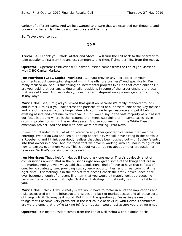variety of different parts. And we just wanted to ensure that we extended our thoughts and prayers to the family, friends and co-workers at this time.

So, Trevor, over to you.

#### **Q&A**

**Trevor Bell:** Thank you, Mark, Alister and Steve. I will turn the call back to the operator to take questions, first from the analyst community and then, if time permits, from the media.

**Operator:** (Operator Instructions) Our first question comes from the line of Jon Morrison with CIBC Capital Markets.

**Jon Morrison (CIBC Capital Markets):** Can you provide any more color on your comments about developing step-out within the offshore business? And specifically, I'm really focused on, one, is this taking on incremental projects like Oda that came online? Or are you looking at perhaps taking smaller positions in some of the larger offshore projects that are out there? And secondarily, does the term step-out imply a new geographic footing in any way?

**Mark Little:** Gee, I'm glad you asked that question because it's really intended around and in fact, I think if you look across the portfolio of all of our assets, one of the key focuses and one of the ways to drive huge value is to continue to get resource and put it behind existing assets and continue to drive value. So I would say in the vast majority of our assets our focus is around where is the resource that keeps sustaining or, in some cases, even growing production within the existing asset. And so you see that in the White Rose extension project. You see that with how we're optimizing Terra Nova.

It was not intended to talk at all or reference any other geographical areas that we'd be entering. We did do Oda and Fenja. The big opportunity we still have sitting in the portfolio is Rosebank, and I think everybody realizes that that's been pushed out with Equinor's entry into that ownership pool. And the focus that we have in working with Equinor is to figure out how to extract even more value. This is about value. It's not about time or production or reserves. So that's our singular focus on it.

**Jon Morrison:** That's helpful. Maybe if I could ask one more. There's obviously a lot of conversations around M&A in the oil sands right now given some of the things that are in the market. And you've always said that acquisitions kind of have to have that trifecta of; one, being strategic; two, providing cost synergy opportunities; and three, coming at the right price. If something is in the market that doesn't check the first 2 boxes, does price ever become enough of a reconciling item that you would ultimately look at proceeding because the accretion is that high? Or if it isn't strategic, it just really isn't on the table for you?

**Mark Little:** I think it would really -- we would have to factor in all of the implications and risks associated with the infrastructure issues and lack of market access and all those sorts of things into it. So maybe it would. But I think the question you're asking is one of the things that's become very prevalent in the last couple of days is; with Devon's comments, are we the ones that they're talking to? And I guess I would just assure you that were not.

**Operator:** Our next question comes from the line of Neil Mehta with Goldman Sachs.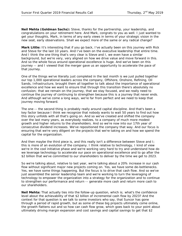**Neil Mehta (Goldman Sachs):** Steve, thanks for the partnership, your leadership, and congratulations on your retirement here. And Mark, congrats to you as well. I just wanted to get your thoughts, Mark, in terms of any early views in terms of your strategic vision in the new seat, early observations. Shall we expect more of the same or any radical change?

**Mark Little:** It's interesting that if you go back, I've actually been on this journey with Rick and Steve for the last 10 years. And I've been on the executive leadership that entire time. And I think the one thing that's very clear is Steve and I, we even have a similar background, but we're very, very aligned on how we drive value and move forward in this. And so the whole focus around operational excellence is huge. And we've been on this journey -- and I viewed that the merger gave us an opportunity to accelerate the pace of that journey.

One of the things we've literally just completed in the last month is we just pulled together our top 1,000 operational leaders across the company, Offshore, Onshore, Refining, Oil Sands, Infrastructure, brought them all together to talk about the importance of operational excellence and how we want to ensure that through this transition there's absolutely no confusion; that we remain on the journey, that we stay focused, and we really need to continue the journey of continuing to strengthen because this is a journey that never ends. And although we've come a long ways, we're far from perfect and we need to keep that journey moving forward.

The one -- the second thing is probably really around capital discipline. And that's been a key factor because I think we recognize that nobody wants to wait 50 years to find out how this story unfolds with all that's going on. And so we've created and shifted the company over the last many years, as everybody realizes, to a company of much more modest growth and higher returns to the shareholders. And so we're now into our 17th year of consecutive dividend increases. We've repositioned the company that way. And our focus is ensuring that we're very diligent on the projects that we're taking on and how we spend the capital for the organization.

And then maybe the third piece is, and this really isn't a difference between Steve and I; this is more of an evolution of the company. I think relative to technology, I kind of view we're in the cool initiative phase and we're working very hard to try and understand how do we leverage technology to accelerate our pace on operational excellence and to go after the \$2 billion that we've committed to our shareholders to deliver by the time we get to 2023.

So we're talking about, relative to last year, we're talking about a 20% increase in our cash flow without significant major new projects coming on. Yes, we have some de-bottlenecks. Yes, we have some things happening. But the focus is to drive that cash flow. And so we've just assembled the senior leadership team and we're working to turn the leveraging of technology to empower the organization into a strategy for the organization and to continue to strengthen our performance and return -- generate more cash and return more cash to our shareholders.

**Neil Mehta:** That actually ties into the follow-up question, which is; what's the confidence level about the achievability of that \$2 billion of incremental cash flow by 2023? And the context for that question is we talk to some investors who say, that Suncor has gone through a period of rapid growth, but as some of these big projects ultimately come online, the growth flattens out and so how can cash flow grow, which goes back to your point about ultimately driving margin expansion and cost savings and capital savings to get that \$2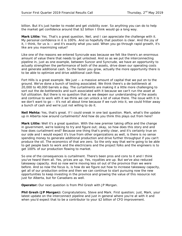billion. But it's just harder to model and get visibility over. So anything you can do to help the market get confidence around that \$2 billion I think would go a long way.

**Mark Little:** Yes. That's a great question, Neil, and I can appreciate the challenge with it. My personal confidence in it is 100%. And so hopefully that position is clear. And the joy of it, I think, for us is -- and it's exactly what you said. When you go through rapid growth, it's like are you maximizing value?

Like one of the reasons we entered Syncrude was because we felt like there's an enormous amount of value there that needs to get unlocked. And so as we put the interconnecting pipeline in, just as one example, between Suncor and Syncrude, we have an opportunity to actually strengthen the performance of both of the assets, drive down our operating costs and generate additional cash. So the faster you grow, actually the more opportunity there is to be able to optimize and drive additional cash flow.

Fort Hills is a great example. We just -- a massive amount of capital that we put on to the ground. We've done a bunch of testing associated. We think there's a de-bottleneck at 20,000 to 40,000 barrels a day. The curtailments are making it a little more challenging to sort out the de-bottlenecks and such associated with it because we can't run the asset at full utilization. But there is no question that as we deepen our understanding of the assets and continue to work with it we think we can unlock a lot of value there. The issue with it is we don't want to go -- it's not all about time because if we rush into it, we could fritter away a bunch of cash and we're just not willing to do it.

**Neil Mehta:** Yes, that's great. If I could sneak in one last question. Mark, what's the update up in Alberta now around curtailments? And how do you think this plays out from here?

**Mark Little:** Well it's a great question. With the new premier taking office and the change in government, we're looking to try and figure out; okay, so how does this story end and how does curtailment end? Because one thing that's pretty clear, and it's certainly true on our side and I would expect it's true from other organizations as well, is there is no sense spending money to generate additional production and drive further throughput if you can't produce the oil. The economics of that are zero. So the only way that we're going to be able to get people back to work and the electricians and the project folks and the engineers is to get 100% of our production flowing to market.

So one of the consequences is curtailment. There's been pros and cons to it and I think you've heard them all. Yes, prices are up. Yes, royalties are up. But we've also reduced takeaway capacity. And so now we're moving less oil out of the province than we were before. And so now the focus is, is how do we figure out how to increase takeaway capacity, get all of our production online and then we can continue to start pursuing now the new opportunities to keep investing in the province and growing the value of this resource not just for Alberta, but for Canadians as well.

**Operator:** Our next question is from Phil Gresh with JP Morgan.

**Phil Gresh (JP Morgan):** Congratulations, Steve and Mark. First question; just, Mark, your latest update on the interconnect pipeline and just in general where you're at with it and when you'd expect that to be a contributor to your \$2 billion of CFO improvement.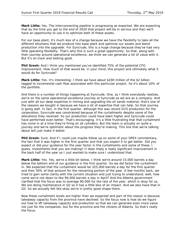**Mark Little:** Yes. The interconnecting pipeline is progressing as expected. We are expecting that by the time you get to the end of 2020 that project will be in service and then we'll have an opportunity to use it to optimize both of these assets.

For our base plant, it's much less of a change because we have the flexibility to take all the different bitumens that we produce into base plant and optimize our assets and blend production into the upgrader. For Syncrude, this is a huge change because they've had very little operating flexibility. That's why this is such a great opportunity. So that, along with their journey around operational excellence, we think we can generate a lot of value with it. But it's on track and looking good.

**Phil Gresh:** And I think you mentioned you've identified 75% of the potential CFO improvement. How much of that would be, in your mind, this project and ultimately what it would do for Syncrude?

**Mark Little:** Yes. It's interesting; I think we have about \$200 million of the \$2 billion tagged to incremental cash flow associated with this particular project. So it's about 10% of the portfolio.

And there is a number of things happening at Syncrude. One, as I think everybody realizes, we're on the same operational excellence journey at Syncrude as we are as a company. And just with all our deep expertise in mining and upgrading the oil sands material, that's one of the reasons we bought in because we have a lot of expertise that can help. So that journey is going well. In fact, in the first quarter, although this was record SCO production for the corporation, Syncrude was constrained because of the curtailments despite some of the allocations they received. So our production could have been higher and Syncrude could have performed even better. That's encouraging. It's a little frustrating that that curtailment has come in at a time they're firing on all cylinders. But the team is actually on quite a journey and we're optimistic about the progress they're making. This line that we're talking about will just make it better.

**Phil Gresh:** Sure. And if I could just maybe follow up on some of your OPEX commentary; the fact that it was higher in the first quarter and that you expect it to get better. Did you expect or did your guidance for the year factor in the curtailments and some of these, I guess, investments that you are making? It does imply a really significant improvement in the back half of the year so I just wanted to make sure I understood that.

**Mark Little:** Yes. Yes, we're a little bit below. I think we're around 15,000 barrels a day below the bottom end of our guidance in the first quarter. So we did factor the curtailment in. We expected that the curtailment would be 325,000 barrels a day for the first quarter and then 30% of that amount for the remaining portion of the year. A few months back, we tried to gain some clarity with the current situation and just trying to understand; well, how come we're not down to like 90,000 barrels a day in April? And the Alberta government clarified that the focus was to average 90,000 for the rest of the year, which is okay for us. We are doing maintenance in Q2 so it has a little less of an impact. And we also have that in Q3. So we actually felt like okay we're in pretty good shape there.

Now these curtailment levels are higher than we expected and part of the reason is because takeaway capacity from the province have declined. So the focus now is how do we figure out how to lift takeaway capacity and production so that we can generate even more value not just for the companies, but for the province and the citizens of Alberta. So that's really the focus.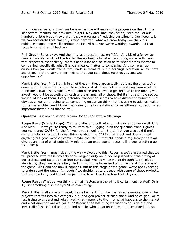I think our sense is, is okay, we believe that we will make some progress on that. In the last several months, the province, in April, May and June, they've adjusted the various numbers a little bit so they are on a slow progress of reducing curtailment. Our hope is, is we can accelerate that. We still, sitting here with what we know today, we think our guidance is good and we'll continue to stick with it. And we're working towards and that focus is to get that oil back on.

**Phil Gresh:** Sure, okay. And then my last question just on M&A. It's a bit of a follow-up here. Obviously, south of the border there's been a lot of activity going on recently. And with respect to that activity, there's been a lot of discussion as to what metrics matter to companies, specifically what financial metrics matter to companies. And so I was just curious how you would frame that, Mark, in terms of is it in earnings accretion, a cash flow accretion? Is there some other metrics that you care about most as you analyze opportunities?

Mark Little: Yes. Phil, I think in all of these -- these are actually, at least the ones we've done, a lot of these are complex transactions. And so we look at everything from what we think the actual asset value is, what kind of return we would get relative to the money we invest, would it be accretive on cash and earnings, all of these. But it's not a simple recipe. We would look at them. Every potential transaction seems to have different attributes. But obviously, we're not going to do something unless we think that it's going to add real value to the shareholder. And I think that's really the biggest driver for us although accretion is an important factor in all that as well.

**Operator:** Our next question is from Roger Read with Wells Fargo.

**Roger Read (Wells Fargo):** Congratulations to both of you -- Steve, a job very well done. And Mark, I know you're ready to roll with this. Digging in on the question front, I guess you mentioned CAPEX for the full year, you're going to hit that, but you also said there's some regulatory issues. I guess thinking about the CAPEX that is set and doesn't need anything but good weather versus maybe the CAPEX that still needs a regulatory approval, give us an idea of what potentially might be an underspend it seems like you're setting up for in 2019.

**Mark Little:** Yes. I mean clearly the way we've done this, Roger, is we've assumed that we will proceed with these projects once we get clarity on it. So we pushed out the timing of our projects and factored that into our capital. And so when we go through it, I think our view is, is; okay, we're definitely kind of mid to the lower end of our range at this stage of the game. Wait and see how it happens. But at this stage of the game, we're not expecting to underspend the range. Although if we decide not to proceed with some of these projects, that's a possibility and I think we just need to wait and see how that plays out.

**Roger Read:** What do you think the main factors are there? Is it curtailment-related? Or is it just something else that you'd be evaluating?

**Mark Little:** Well some of it would be curtailment. But like, just as an example, one of the projects that fits into this category is our co-gen project at base plant. And so co-gen, we're just trying to understand; okay, well what happens to the -- or what happens to the market and what direction are we going in? Because the last thing we want to do is go out and invest all of this capital and then find out the whole market concept gets changed and so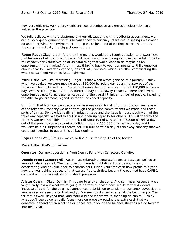now very efficient, very energy-efficient, low greenhouse gas emission electricity isn't valued in the province.

We fully believe, with the platforms and our discussions with the Alberta government, we can quickly get alignment on this because they're certainly interested in seeing investment go and improving the environment. But so we're just kind of waiting to sort that out. But the co-gen is actually the biggest one in there.

**Roger Read:** Okay, great. And then I know this would be a tough question to answer here just because of all the moving parts. But what would your thoughts on incremental crude by rail capacity for yourselves be or as something that you'd want to do maybe as an opportunity in the market? And I'm just thinking back to your comments to Phil's question about capacity. Takeaway capacity has actually declined, which is further complicating the whole curtailment volumes issue right now.

**Mark Little:** Yes. It's interesting, Roger, is that when we've gone on this journey, I think when we peaked we were moving about 350,000 barrels a day as an industry out of the province. That collapsed to, if I'm remembering the numbers right, about 120,000 barrels a day. We lost literally over 200,000 barrels a day of takeaway capacity. There are several opportunities now to increase rail capacity further. And I think a number of people, including the Alberta government, signed up for an increased capacity.

So I think that from our perspective we've always said for all of our production we have all of the takeaway capacity we need through the pipeline commitments we made and those sorts of things. So now it's really an industry issue and the issue is, is although we had the takeaway capacity, we had to shut in and open up capacity for others. It's just the way the process worked. So I think that on rail, rail capacity today is about 200,000 barrels a day out of the province so we're quite confident there is 150,000-plus barrels a day and I wouldn't be a bit surprised if there's not 250,000 barrels a day of takeaway capacity that we could put together to get all this oil back online.

**Roger Read:** Well, I'm sure we could find a use for it south of the border.

**Mark Little:** That's for certain.

**Operator:** Our next question is from Dennis Fong with Canaccord Genuity.

**Dennis Fong (Canaccord):** Again, just reiterating congratulations to Steve as well as to yourself, Mark, as well. The first question here is just talking towards your view of accelerating kind of value back to shareholders. Given your free cash flow profile this year, how are you looking at uses of that excess free cash flow beyond the outlined base CAPEX, dividend and the current share buyback program?

**Alister Cowan:** Okay, Dennis, I'm going to answer that one. And so I mean essentially we very clearly laid out what we're going to do with our cash flow; a substantial dividend increase of 17% for the year. We announced a \$2 billion extension to our stock buyback and you've seen us execute on that and you've seen us do the renewal at the beginning of May for that as well. Beyond that, and Mark outlined where we're spending on capital, I think what you'll see us do is really focus more on probably putting the extra cash that we generate, depending on what the oil prices are, back on the balance sheet as we go forward into next year.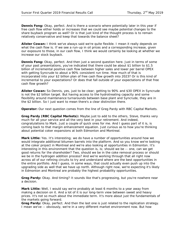**Dennis Fong:** Okay, perfect. And is there a scenario where potentially later in this year if free cash flow either holds or increases that we could see maybe potential changes to the share buyback program as well? Or is that just kind of the thought process is to remain relatively conservative and keep that towards the balance sheet?

**Alister Cowan:** I think we've always said we're quite flexible. I mean it really depends on what the cash flow is. If we see a run-up in oil prices and a corresponding increase, given our exposure to those, in our cash flow, I think we would certainly be looking at whether we increase our stock buyback.

**Dennis Fong:** Okay, perfect. And then just a second question here. Just in terms of some of your past presentations, you've indicated that there could be about \$1 billion to \$1.5 billion of incremental positive cash flow between higher sales and lower per barrel OPEX with getting Syncrude to about a 90% consistent run time. How much of that is incorporated into your \$2 billion plan of free cash flow growth into 2023? Or is this kind of incremental to your expectations? Or does that fall outside of your expectations of that free cash flow growth?

**Alister Cowan:** So Dennis, yes, just to be clear; getting to 90% and \$30 OPEX in Syncrude is not the \$2 billion target. But having access to the hydrotreating capacity and some flexibility around maintenance turnarounds between base plant and Syncrude, they are in the \$2 billion. So I just want to mean there's a clear distinction there.

**Operator:** Our next question comes from the line of Greg Pardy with RBC Capital Markets.

**Greg Pardy (RBC Capital Markets):** Maybe just to add to the others, Steve, thanks very much for all your service and all the very best in your retirement. And indeed, congratulations to Mark. Just a couple of quick ones for me. And I guess part of it is, is coming back to that margin enhancement equation. Just curious as to how you're thinking about potential coker expansions at both Edmonton and Montreal.

**Mark Little:** Yes. It's interesting; we do have a number of opportunities around how we would integrate additional bitumen barrels into the platform. And so you know we're looking at the coker project in Montreal and we're also looking at opportunities in Edmonton. It's interesting in this environment that the question is, is; should we be -- one, can we get good returns for the shareholder? Two, should we be in the coke removal process or should we be in the hydrogen addition process? And we're working through that all right now across all of our refining circuits to try and understand where are the best opportunities in the entire portfolio. And I guess, in some ways, that could actually even push up into the upgrading side as well that we have up north. Although right now, we're expecting it's likely in Edmonton and Montreal are probably the highest probability opportunities.

**Greg Pardy:** Okay. And timing? It sounds like that's progressing, but you're nowhere near a decision.

**Mark Little:** Well, I would say we're probably at least 6 months to a year away from making a decision on it. And a lot of it is our long-term view between sweet and heavy prices. It's not so much about the immediate term. It's more about just the fundamentals of the markets going forward.

**Greg Pardy:** Okay, perfect. And then the last one is just related to the replication strategy. I mean we've -- obviously, we're in a very different market environment now. But how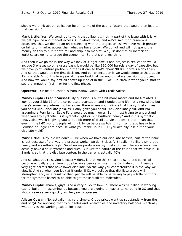should we think about replication just in terms of the gating factors that would then lead to that decision?

**Mark Little:** Yes. We continue to work that diligently. I think part of the issue with it is will we get pipeline and market access. Our whole focus, and we've said it on numerous occasions, that we don't plan on proceeding with the project unless we have much greater certainty on market access than what we have today. We do not and will not spend the money on this to put it onto rail and ship it to market. We just don't think inefficient logistics are going to erode the economics. So that's one key thing.

And then if we go for it, the way we look at it right now is one project in replication would include 3 phases so on a gross basis it would be like 120,000 barrels a day of capacity, but we have joint venture partners in the first one so that's about 90,000 barrels a day to us. And so that would be the first decision. And our expectation is we would come to that, again it's probably 6 months to a year at the earliest that we would make a decision to proceed. And now we would say first oil shows up kind of in the -- well, in 2024 is when you'd start to see the impact of first -- or for the first phase.

**Operator:** Our next question is from Manav Gupta with Credit Suisse.

**Manav Gupta (Credit Suisse):** My question is a little bit more macro and IMO-related. I look at your Slide 17 of the corporate presentation and I understand it's not a new slide, but there's some very interesting facts over there where you indicate that the synthetic gives you about 40% distillate yield. WTI only gives you about 30% distillate yield. And I'm assuming a Permian or Eagle Ford would be much lower. So I'm just trying to understand when you say synthetic, is it synthetic light or is it synthetic heavy? And if it is synthetic heavy also which is giving you a little bit more of distillate yield, doesn't that mean that even in the IMO world, people will think twice before switching from synthetic heavy to a Permian or Eagle Ford because what you make up in HSFO you actually lose out on your distillate yield?

**Mark Little:** Okay. So we don't -- like when we have our distillate barrels, part of the issue is just because of the way the process works, we don't classify it really into like a synthetic heavy and a synthetic light. So when we produce our synthetic crudes, there's a few -- we actually have a sour synthetic and such. But just the nature of the crude that we have in Oil Sands is so that the distillate content in the barrel is actually 40%.

And so what you're saying is exactly right, is that we think that the synthetic barrel will become actually a premium crude because people will want the distillate cut in it versus very light barrels that have lower distillate. So the way you characterized it is the way we view it. And so when you look at it under IMO, we believe that distillate cracks will strengthen and, as a result of that, people will be able to be willing to pay a little bit more for the synthetic barrel to be able to get those distillate molecules.

**Manav Gupta:** Thanks, guys. And a very quick follow-up. There was \$1 billion in working capital build. I'm assuming it's because you are digging a heavier turnaround in 2Q and that should reverse very quickly as the year progresses.

**Alister Cowan:** No, actually, it's very simple. Crude prices went up substantially from the end of Q4. So applying that to our sales and receivables and inventory balances is actually what drives the working capital increase.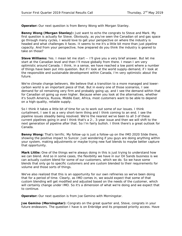**Operator:** Our next question is from Benny Wong with Morgan Stanley.

**Benny Wong (Morgan Stanley):** Just want to echo the congrats to Steve and Mark. My first question is actually for Steve. Obviously, as you've seen the Canadian oil and gas space go through many cycles, I would love to get your perspective on where the industry is headed and what challenges it faces. It seems to me it's a little bit more than just pipeline capacity. And from your perspective, how prepared do you think the industry is geared to take on those?

**Steve Williams:** Yes. I mean let me start -- I'll give you a very brief answer. But let me start at the Canadian level and then I'll move globally from there. I mean I am very optimistic around Canada. I think, in a sense, we have reached a low point where a number of things have been put into question. But if I look at the world supply-demand, if I look at the responsible and sustainable development within Canada, I'm very optimistic about the future.

We're climate change believers. We believe that a transition to a more managed and lowercarbon world is an important piece of that. But in every one of those scenarios, I see demand for oil remaining very firm and probably going up, and I see the demand within that for Canadian oil going up even higher. Because when you look at the alternatives, whether it's South America, Russia, Middle East, Africa, most customers want to be able to depend on a high-quality, reliable supply.

So I think it takes a little bit of time for us to work out some of our issues. I think curtailment, I see it as a very short-term thing and I think coming to an end. I see the pipeline issues steadily being resolved. We're the nearest we've been to all 3 of these current pipelines going in and I think that's a 2-, 3-year issue and then we will shift to the next generation of pipeline after that. So I'm fairly bullish. I think there's a great outlook for Canada.

**Benny Wong:** That's terrific. My follow-up is just a follow-up on the IMO 2020 Slide there, showing the positive impact to Suncor. Just wondering if you guys are doing anything within your system, making adjustments or maybe trying new fuel blends to maybe better capture that opportunity.

**Mark Little:** One of the things we're always doing in this is just trying to understand how we can blend. And so in some cases, the flexibility we have in our Oil Sands business is we can actually custom blend for some of our customers, which we do. So we have some blends that only go to specific customers and are custom blended to their requirements for volume and those sorts of things.

We've also realized that this is an opportunity for our own refineries so we've been doing that for a period of time. Clearly, as IMO comes in, we would expect that some of that custom blending will get modified and adjusted based on the needs of the customer, which will certainly change under IMO. So it's a dimension of what we're doing and we expect that to continue.

**Operator:** Our next question is from Joe Gemino with Morningstar.

**Joe Gemino (Morningstar):** Congrats on the great quarter and, Steve, congrats in your future endeavors. The question I have is on Enbridge and its proposed priority access. Have